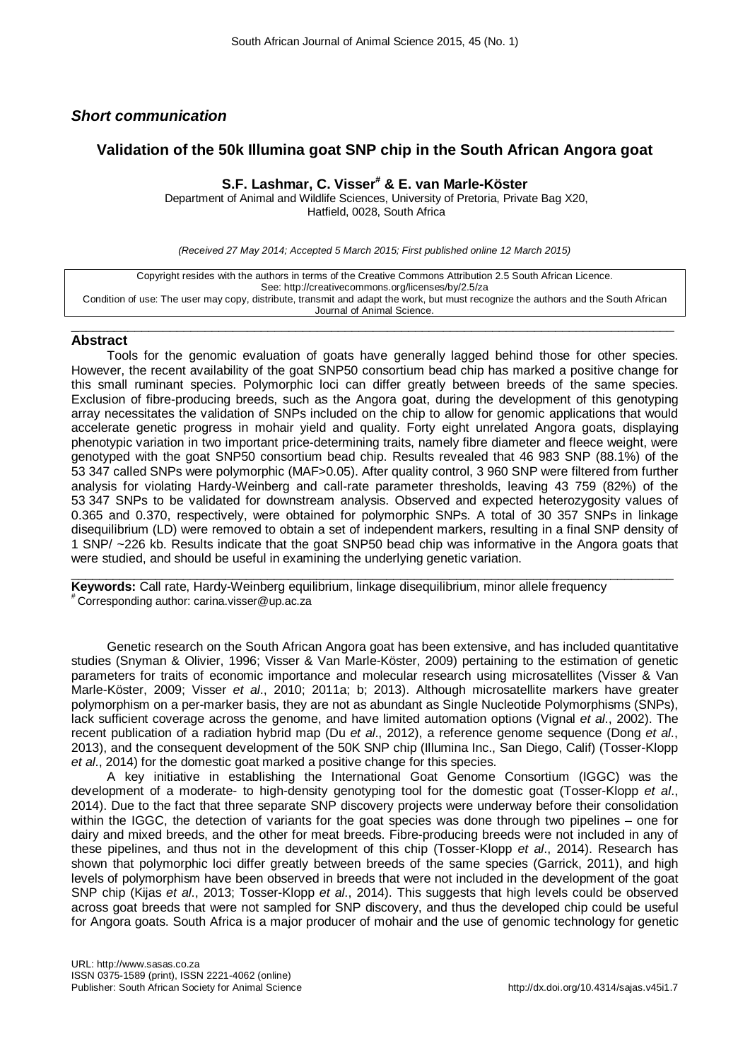# *Short communication*

## **Validation of the 50k Illumina goat SNP chip in the South African Angora goat**

### **S.F. Lashmar, C. Visser# & E. van Marle-Köster**

Department of Animal and Wildlife Sciences, University of Pretoria, Private Bag X20, Hatfield, 0028, South Africa

*(Received 27 May 2014; Accepted 5 March 2015; First published online 12 March 2015)*

Copyright resides with the authors in terms of the Creative Commons Attribution 2.5 South African Licence. See:<http://creativecommons.org/licenses/by/2.5/za> Condition of use: The user may copy, distribute, transmit and adapt the work, but must recognize the authors and the South African Journal of Animal Science.

\_\_\_\_\_\_\_\_\_\_\_\_\_\_\_\_\_\_\_\_\_\_\_\_\_\_\_\_\_\_\_\_\_\_\_\_\_\_\_\_\_\_\_\_\_\_\_\_\_\_\_\_\_\_\_\_\_\_\_\_\_\_\_\_\_\_\_\_\_\_\_\_\_\_\_\_\_\_\_\_\_\_\_\_\_\_

#### **Abstract**

Tools for the genomic evaluation of goats have generally lagged behind those for other species. However, the recent availability of the goat SNP50 consortium bead chip has marked a positive change for this small ruminant species. Polymorphic loci can differ greatly between breeds of the same species. Exclusion of fibre-producing breeds, such as the Angora goat, during the development of this genotyping array necessitates the validation of SNPs included on the chip to allow for genomic applications that would accelerate genetic progress in mohair yield and quality. Forty eight unrelated Angora goats, displaying phenotypic variation in two important price-determining traits, namely fibre diameter and fleece weight, were genotyped with the goat SNP50 consortium bead chip. Results revealed that 46 983 SNP (88.1%) of the 53 347 called SNPs were polymorphic (MAF>0.05). After quality control, 3 960 SNP were filtered from further analysis for violating Hardy-Weinberg and call-rate parameter thresholds, leaving 43 759 (82%) of the 53 347 SNPs to be validated for downstream analysis. Observed and expected heterozygosity values of 0.365 and 0.370, respectively, were obtained for polymorphic SNPs. A total of 30 357 SNPs in linkage disequilibrium (LD) were removed to obtain a set of independent markers, resulting in a final SNP density of 1 SNP/ ~226 kb. Results indicate that the goat SNP50 bead chip was informative in the Angora goats that were studied, and should be useful in examining the underlying genetic variation.

 $\_$  , and the set of the set of the set of the set of the set of the set of the set of the set of the set of the set of the set of the set of the set of the set of the set of the set of the set of the set of the set of th **Keywords:** Call rate, Hardy-Weinberg equilibrium, linkage disequilibrium, minor allele frequency<br># Corresponding author: carina.visser@up.ac.za

Genetic research on the South African Angora goat has been extensive, and has included quantitative studies (Snyman & Olivier, 1996; Visser & Van Marle-Köster, 2009) pertaining to the estimation of genetic parameters for traits of economic importance and molecular research using microsatellites (Visser & Van Marle-Köster, 2009; Visser *et al*., 2010; 2011a; b; 2013). Although microsatellite markers have greater polymorphism on a per-marker basis, they are not as abundant as Single Nucleotide Polymorphisms (SNPs), lack sufficient coverage across the genome, and have limited automation options (Vignal *et al*., 2002). The recent publication of a radiation hybrid map (Du *et al*., 2012), a reference genome sequence (Dong *et al*., 2013), and the consequent development of the 50K SNP chip (Illumina Inc., San Diego, Calif) (Tosser-Klopp *et al*., 2014) for the domestic goat marked a positive change for this species.

A key initiative in establishing the International Goat Genome Consortium (IGGC) was the development of a moderate- to high-density genotyping tool for the domestic goat (Tosser-Klopp *et al*., 2014). Due to the fact that three separate SNP discovery projects were underway before their consolidation within the IGGC, the detection of variants for the goat species was done through two pipelines – one for dairy and mixed breeds, and the other for meat breeds. Fibre-producing breeds were not included in any of these pipelines, and thus not in the development of this chip (Tosser-Klopp *et al*., 2014). Research has shown that polymorphic loci differ greatly between breeds of the same species (Garrick, 2011), and high levels of polymorphism have been observed in breeds that were not included in the development of the goat SNP chip (Kijas *et al*., 2013; Tosser-Klopp *et al*., 2014). This suggests that high levels could be observed across goat breeds that were not sampled for SNP discovery, and thus the developed chip could be useful for Angora goats. South Africa is a major producer of mohair and the use of genomic technology for genetic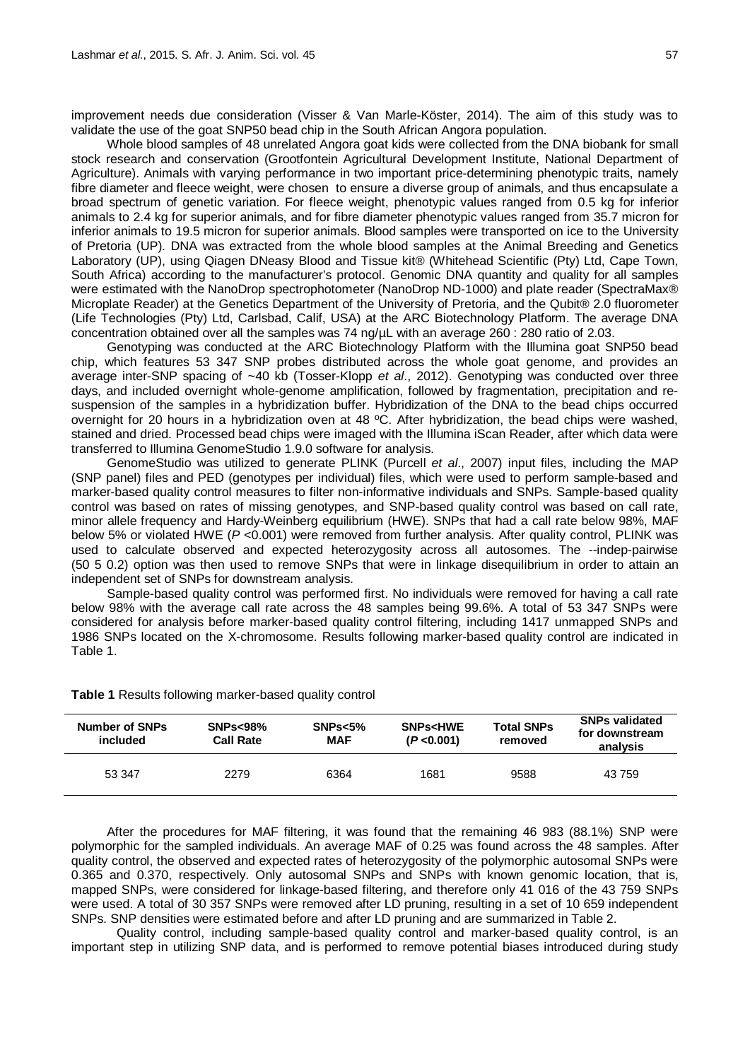improvement needs due consideration (Visser & Van Marle-Köster, 2014). The aim of this study was to validate the use of the goat SNP50 bead chip in the South African Angora population.

Whole blood samples of 48 unrelated Angora goat kids were collected from the DNA biobank for small stock research and conservation (Grootfontein Agricultural Development Institute, National Department of Agriculture). Animals with varying performance in two important price-determining phenotypic traits, namely fibre diameter and fleece weight, were chosen to ensure a diverse group of animals, and thus encapsulate a broad spectrum of genetic variation. For fleece weight, phenotypic values ranged from 0.5 kg for inferior animals to 2.4 kg for superior animals, and for fibre diameter phenotypic values ranged from 35.7 micron for inferior animals to 19.5 micron for superior animals. Blood samples were transported on ice to the University of Pretoria (UP). DNA was extracted from the whole blood samples at the Animal Breeding and Genetics Laboratory (UP), using Qiagen DNeasy Blood and Tissue kit® (Whitehead Scientific (Pty) Ltd, Cape Town, South Africa) according to the manufacturer's protocol. Genomic DNA quantity and quality for all samples were estimated with the NanoDrop spectrophotometer (NanoDrop ND-1000) and plate reader (SpectraMax® Microplate Reader) at the Genetics Department of the University of Pretoria, and the Qubit® 2.0 fluorometer (Life Technologies (Pty) Ltd, Carlsbad, Calif, USA) at the ARC Biotechnology Platform. The average DNA concentration obtained over all the samples was 74 ng/µL with an average 260 : 280 ratio of 2.03.

Genotyping was conducted at the ARC Biotechnology Platform with the Illumina goat SNP50 bead chip, which features 53 347 SNP probes distributed across the whole goat genome, and provides an average inter-SNP spacing of ~40 kb (Tosser-Klopp *et al*., 2012). Genotyping was conducted over three days, and included overnight whole-genome amplification, followed by fragmentation, precipitation and resuspension of the samples in a hybridization buffer. Hybridization of the DNA to the bead chips occurred overnight for 20 hours in a hybridization oven at 48 ºC. After hybridization, the bead chips were washed, stained and dried. Processed bead chips were imaged with the Illumina iScan Reader, after which data were transferred to Illumina GenomeStudio 1.9.0 software for analysis.

GenomeStudio was utilized to generate PLINK (Purcell *et al*., 2007) input files, including the MAP (SNP panel) files and PED (genotypes per individual) files, which were used to perform sample-based and marker-based quality control measures to filter non-informative individuals and SNPs. Sample-based quality control was based on rates of missing genotypes, and SNP-based quality control was based on call rate, minor allele frequency and Hardy-Weinberg equilibrium (HWE). SNPs that had a call rate below 98%, MAF below 5% or violated HWE (*P* <0.001) were removed from further analysis. After quality control, PLINK was used to calculate observed and expected heterozygosity across all autosomes. The --indep-pairwise (50 5 0.2) option was then used to remove SNPs that were in linkage disequilibrium in order to attain an independent set of SNPs for downstream analysis.

Sample-based quality control was performed first. No individuals were removed for having a call rate below 98% with the average call rate across the 48 samples being 99.6%. A total of 53 347 SNPs were considered for analysis before marker-based quality control filtering, including 1417 unmapped SNPs and 1986 SNPs located on the X-chromosome. Results following marker-based quality control are indicated in Table 1.

|                        |      | removed<br>analysis |  |
|------------------------|------|---------------------|--|
| 6364<br>2279<br>53 347 | 1681 | 9588<br>43 759      |  |

**Table 1** Results following marker-based quality control

After the procedures for MAF filtering, it was found that the remaining 46 983 (88.1%) SNP were polymorphic for the sampled individuals. An average MAF of 0.25 was found across the 48 samples. After quality control, the observed and expected rates of heterozygosity of the polymorphic autosomal SNPs were 0.365 and 0.370, respectively. Only autosomal SNPs and SNPs with known genomic location, that is, mapped SNPs, were considered for linkage-based filtering, and therefore only 41 016 of the 43 759 SNPs were used. A total of 30 357 SNPs were removed after LD pruning, resulting in a set of 10 659 independent SNPs. SNP densities were estimated before and after LD pruning and are summarized in Table 2.

Quality control, including sample-based quality control and marker-based quality control, is an important step in utilizing SNP data, and is performed to remove potential biases introduced during study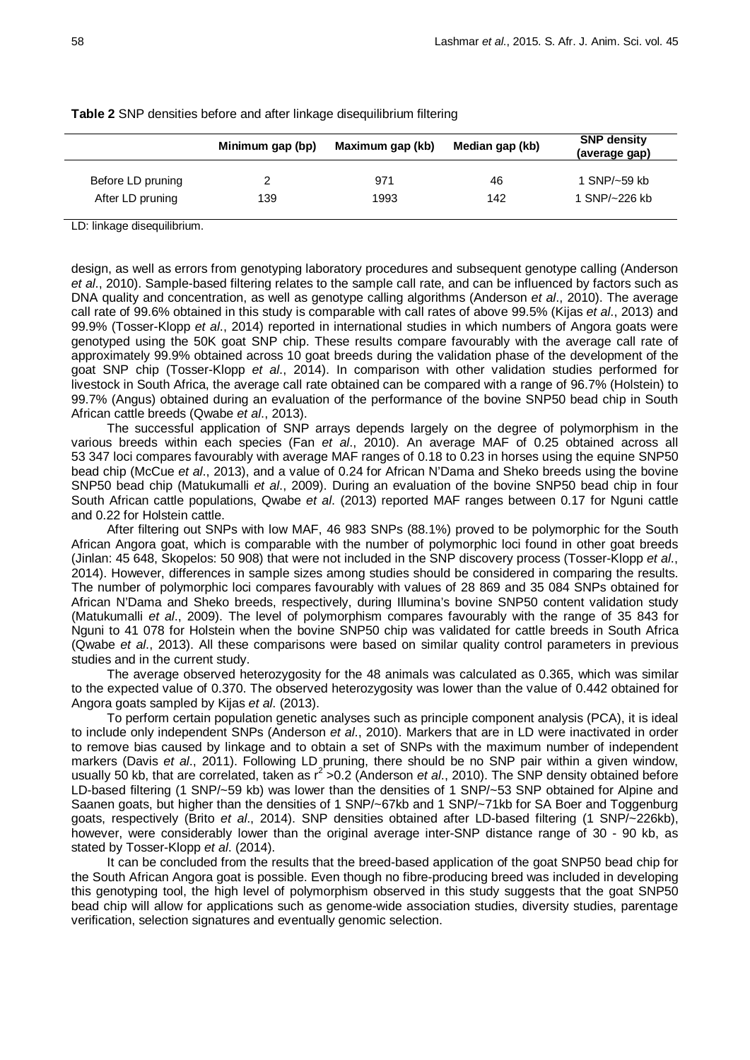|                   | Minimum gap (bp) | Maximum gap (kb) | Median gap (kb) | <b>SNP density</b><br>(average gap) |
|-------------------|------------------|------------------|-----------------|-------------------------------------|
| Before LD pruning |                  | 971              | 46              | 1 SNP/~59 kb                        |
| After LD pruning  | 139              | 1993             | 142             | 1 SNP/~226 kb                       |

**Table 2** SNP densities before and after linkage disequilibrium filtering

LD: linkage disequilibrium.

design, as well as errors from genotyping laboratory procedures and subsequent genotype calling (Anderson *et al*., 2010). Sample-based filtering relates to the sample call rate, and can be influenced by factors such as DNA quality and concentration, as well as genotype calling algorithms (Anderson *et al*., 2010). The average call rate of 99.6% obtained in this study is comparable with call rates of above 99.5% (Kijas *et al*., 2013) and 99.9% (Tosser-Klopp *et al*., 2014) reported in international studies in which numbers of Angora goats were genotyped using the 50K goat SNP chip. These results compare favourably with the average call rate of approximately 99.9% obtained across 10 goat breeds during the validation phase of the development of the goat SNP chip (Tosser-Klopp *et al*., 2014). In comparison with other validation studies performed for livestock in South Africa, the average call rate obtained can be compared with a range of 96.7% (Holstein) to 99.7% (Angus) obtained during an evaluation of the performance of the bovine SNP50 bead chip in South African cattle breeds (Qwabe *et al*., 2013).

The successful application of SNP arrays depends largely on the degree of polymorphism in the various breeds within each species (Fan *et al*., 2010). An average MAF of 0.25 obtained across all 53 347 loci compares favourably with average MAF ranges of 0.18 to 0.23 in horses using the equine SNP50 bead chip (McCue *et al*., 2013), and a value of 0.24 for African N'Dama and Sheko breeds using the bovine SNP50 bead chip (Matukumalli *et al*., 2009). During an evaluation of the bovine SNP50 bead chip in four South African cattle populations, Qwabe *et al*. (2013) reported MAF ranges between 0.17 for Nguni cattle and 0.22 for Holstein cattle.

After filtering out SNPs with low MAF, 46 983 SNPs (88.1%) proved to be polymorphic for the South African Angora goat, which is comparable with the number of polymorphic loci found in other goat breeds (Jinlan: 45 648, Skopelos: 50 908) that were not included in the SNP discovery process (Tosser-Klopp *et al*., 2014). However, differences in sample sizes among studies should be considered in comparing the results. The number of polymorphic loci compares favourably with values of 28 869 and 35 084 SNPs obtained for African N'Dama and Sheko breeds, respectively, during Illumina's bovine SNP50 content validation study (Matukumalli *et al*., 2009). The level of polymorphism compares favourably with the range of 35 843 for Nguni to 41 078 for Holstein when the bovine SNP50 chip was validated for cattle breeds in South Africa (Qwabe *et al*., 2013). All these comparisons were based on similar quality control parameters in previous studies and in the current study.

The average observed heterozygosity for the 48 animals was calculated as 0.365, which was similar to the expected value of 0.370. The observed heterozygosity was lower than the value of 0.442 obtained for Angora goats sampled by Kijas *et al*. (2013).

To perform certain population genetic analyses such as principle component analysis (PCA), it is ideal to include only independent SNPs (Anderson *et al*., 2010). Markers that are in LD were inactivated in order to remove bias caused by linkage and to obtain a set of SNPs with the maximum number of independent markers (Davis *et al*., 2011). Following LD pruning, there should be no SNP pair within a given window, usually 50 kb, that are correlated, taken as r<sup>2</sup> > 0.2 (Anderson *et al.*, 2010). The SNP density obtained before LD-based filtering (1 SNP/~59 kb) was lower than the densities of 1 SNP/~53 SNP obtained for Alpine and Saanen goats, but higher than the densities of 1 SNP/~67kb and 1 SNP/~71kb for SA Boer and Toggenburg goats, respectively (Brito *et al*., 2014). SNP densities obtained after LD-based filtering (1 SNP/~226kb), however, were considerably lower than the original average inter-SNP distance range of 30 - 90 kb, as stated by Tosser-Klopp *et al*. (2014).

It can be concluded from the results that the breed-based application of the goat SNP50 bead chip for the South African Angora goat is possible. Even though no fibre-producing breed was included in developing this genotyping tool, the high level of polymorphism observed in this study suggests that the goat SNP50 bead chip will allow for applications such as genome-wide association studies, diversity studies, parentage verification, selection signatures and eventually genomic selection.